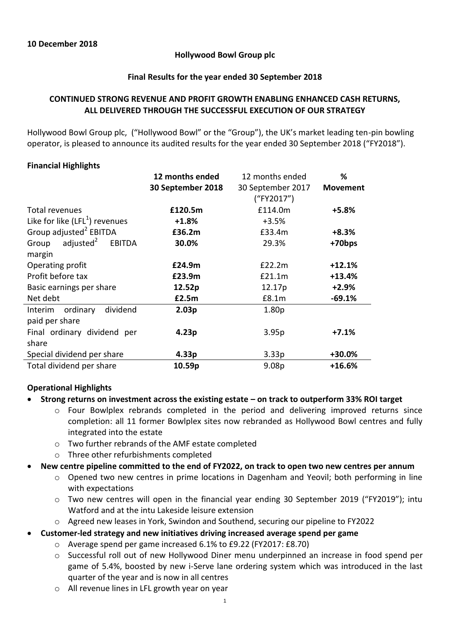### **Hollywood Bowl Group plc**

#### **Final Results for the year ended 30 September 2018**

# **CONTINUED STRONG REVENUE AND PROFIT GROWTH ENABLING ENHANCED CASH RETURNS, ALL DELIVERED THROUGH THE SUCCESSFUL EXECUTION OF OUR STRATEGY**

Hollywood Bowl Group plc, ("Hollywood Bowl" or the "Group"), the UK's market leading ten-pin bowling operator, is pleased to announce its audited results for the year ended 30 September 2018 ("FY2018").

### **Financial Highlights**

|                                          | 12 months ended   | 12 months ended   | %               |
|------------------------------------------|-------------------|-------------------|-----------------|
|                                          | 30 September 2018 | 30 September 2017 | <b>Movement</b> |
|                                          |                   | ("FY2017")        |                 |
| Total revenues                           | £120.5m           | £114.0m           | $+5.8%$         |
| Like for like $(LFL1)$ revenues          | $+1.8%$           | $+3.5%$           |                 |
| Group adjusted <sup>2</sup> EBITDA       | £36.2m            | £33.4m            | $+8.3%$         |
| adjusted <sup>2</sup><br>Group<br>EBITDA | 30.0%             | 29.3%             | +70bps          |
| margin                                   |                   |                   |                 |
| Operating profit                         | £24.9m            | E22.2m            | $+12.1%$        |
| Profit before tax                        | £23.9m            | £21.1m            | $+13.4%$        |
| Basic earnings per share                 | 12.52p            | 12.17p            | $+2.9%$         |
| Net debt                                 | £2.5m             | £8.1m             | $-69.1%$        |
| dividend<br>ordinary<br>Interim          | 2.03p             | 1.80 <sub>p</sub> |                 |
| paid per share                           |                   |                   |                 |
| Final ordinary dividend per              | 4.23p             | 3.95p             | +7.1%           |
| share                                    |                   |                   |                 |
| Special dividend per share               | 4.33p             | 3.33p             | $+30.0%$        |
| Total dividend per share                 | 10.59p            | 9.08 <sub>p</sub> | $+16.6%$        |

# **Operational Highlights**

### **Strong returns on investment across the existing estate – on track to outperform 33% ROI target**

- $\circ$  Four Bowlplex rebrands completed in the period and delivering improved returns since completion: all 11 former Bowlplex sites now rebranded as Hollywood Bowl centres and fully integrated into the estate
- o Two further rebrands of the AMF estate completed
- o Three other refurbishments completed
- **New centre pipeline committed to the end of FY2022, on track to open two new centres per annum**
	- o Opened two new centres in prime locations in Dagenham and Yeovil; both performing in line with expectations
	- o Two new centres will open in the financial year ending 30 September 2019 ("FY2019"); intu Watford and at the intu Lakeside leisure extension
	- o Agreed new leases in York, Swindon and Southend, securing our pipeline to FY2022
- **Customer-led strategy and new initiatives driving increased average spend per game**
	- o Average spend per game increased 6.1% to £9.22 (FY2017: £8.70)
	- o Successful roll out of new Hollywood Diner menu underpinned an increase in food spend per game of 5.4%, boosted by new i-Serve lane ordering system which was introduced in the last quarter of the year and is now in all centres
	- o All revenue lines in LFL growth year on year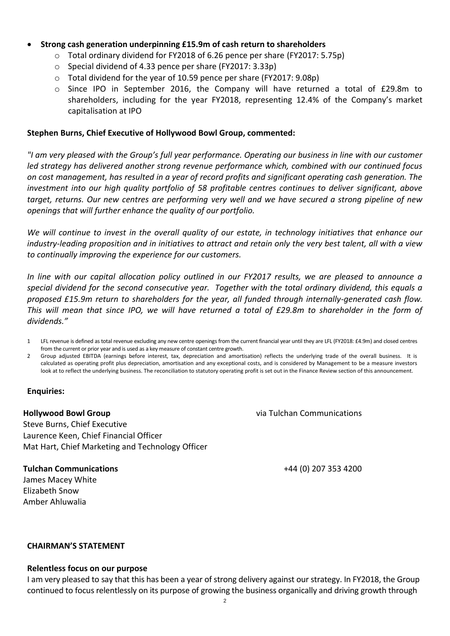### **Strong cash generation underpinning £15.9m of cash return to shareholders**

- o Total ordinary dividend for FY2018 of 6.26 pence per share (FY2017: 5.75p)
- o Special dividend of 4.33 pence per share (FY2017: 3.33p)
- o Total dividend for the year of 10.59 pence per share (FY2017: 9.08p)
- o Since IPO in September 2016, the Company will have returned a total of £29.8m to shareholders, including for the year FY2018, representing 12.4% of the Company's market capitalisation at IPO

#### **Stephen Burns, Chief Executive of Hollywood Bowl Group, commented:**

*"I am very pleased with the Group's full year performance. Operating our business in line with our customer led strategy has delivered another strong revenue performance which, combined with our continued focus on cost management, has resulted in a year of record profits and significant operating cash generation. The investment into our high quality portfolio of 58 profitable centres continues to deliver significant, above target, returns. Our new centres are performing very well and we have secured a strong pipeline of new openings that will further enhance the quality of our portfolio.* 

*We will continue to invest in the overall quality of our estate, in technology initiatives that enhance our industry-leading proposition and in initiatives to attract and retain only the very best talent, all with a view to continually improving the experience for our customers.* 

*In line with our capital allocation policy outlined in our FY2017 results, we are pleased to announce a special dividend for the second consecutive year. Together with the total ordinary dividend, this equals a proposed £15.9m return to shareholders for the year, all funded through internally-generated cash flow. This will mean that since IPO, we will have returned a total of £29.8m to shareholder in the form of dividends."*

- 1 LFL revenue is defined as total revenue excluding any new centre openings from the current financial year until they are LFL (FY2018: £4.9m) and closed centres from the current or prior year and is used as a key measure of constant centre growth.
- 2 Group adjusted EBITDA (earnings before interest, tax, depreciation and amortisation) reflects the underlying trade of the overall business. It is calculated as operating profit plus depreciation, amortisation and any exceptional costs, and is considered by Management to be a measure investors look at to reflect the underlying business. The reconciliation to statutory operating profit is set out in the Finance Review section of this announcement.

### **Enquiries:**

### **Hollywood Bowl Group**

Steve Burns, Chief Executive Laurence Keen, Chief Financial Officer Mat Hart, Chief Marketing and Technology Officer

### **Tulchan Communications**

James Macey White Elizabeth Snow Amber Ahluwalia

via Tulchan Communications

+44 (0) 207 353 4200

### **CHAIRMAN'S STATEMENT**

#### **Relentless focus on our purpose**

I am very pleased to say that this has been a year of strong delivery against our strategy. In FY2018, the Group continued to focus relentlessly on its purpose of growing the business organically and driving growth through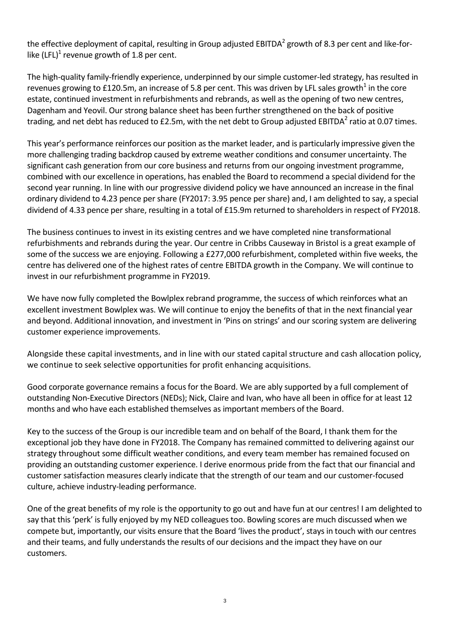the effective deployment of capital, resulting in Group adjusted EBITDA<sup>2</sup> growth of 8.3 per cent and like-forlike (LFL)<sup>1</sup> revenue growth of 1.8 per cent.

The high-quality family-friendly experience, underpinned by our simple customer-led strategy, has resulted in revenues growing to £120.5m, an increase of 5.8 per cent. This was driven by LFL sales growth<sup>1</sup> in the core estate, continued investment in refurbishments and rebrands, as well as the opening of two new centres, Dagenham and Yeovil. Our strong balance sheet has been further strengthened on the back of positive trading, and net debt has reduced to £2.5m, with the net debt to Group adjusted EBITDA<sup>2</sup> ratio at 0.07 times.

This year's performance reinforces our position as the market leader, and is particularly impressive given the more challenging trading backdrop caused by extreme weather conditions and consumer uncertainty. The significant cash generation from our core business and returns from our ongoing investment programme, combined with our excellence in operations, has enabled the Board to recommend a special dividend for the second year running. In line with our progressive dividend policy we have announced an increase in the final ordinary dividend to 4.23 pence per share (FY2017: 3.95 pence per share) and, I am delighted to say, a special dividend of 4.33 pence per share, resulting in a total of £15.9m returned to shareholders in respect of FY2018.

The business continues to invest in its existing centres and we have completed nine transformational refurbishments and rebrands during the year. Our centre in Cribbs Causeway in Bristol is a great example of some of the success we are enjoying. Following a £277,000 refurbishment, completed within five weeks, the centre has delivered one of the highest rates of centre EBITDA growth in the Company. We will continue to invest in our refurbishment programme in FY2019.

We have now fully completed the Bowlplex rebrand programme, the success of which reinforces what an excellent investment Bowlplex was. We will continue to enjoy the benefits of that in the next financial year and beyond. Additional innovation, and investment in 'Pins on strings' and our scoring system are delivering customer experience improvements.

Alongside these capital investments, and in line with our stated capital structure and cash allocation policy, we continue to seek selective opportunities for profit enhancing acquisitions.

Good corporate governance remains a focus for the Board. We are ably supported by a full complement of outstanding Non-Executive Directors (NEDs); Nick, Claire and Ivan, who have all been in office for at least 12 months and who have each established themselves as important members of the Board.

Key to the success of the Group is our incredible team and on behalf of the Board, I thank them for the exceptional job they have done in FY2018. The Company has remained committed to delivering against our strategy throughout some difficult weather conditions, and every team member has remained focused on providing an outstanding customer experience. I derive enormous pride from the fact that our financial and customer satisfaction measures clearly indicate that the strength of our team and our customer-focused culture, achieve industry-leading performance.

One of the great benefits of my role is the opportunity to go out and have fun at our centres! I am delighted to say that this 'perk' is fully enjoyed by my NED colleagues too. Bowling scores are much discussed when we compete but, importantly, our visits ensure that the Board 'lives the product', stays in touch with our centres and their teams, and fully understands the results of our decisions and the impact they have on our customers.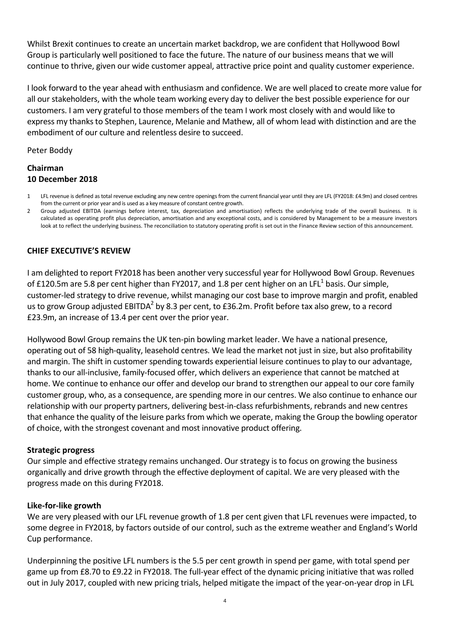Whilst Brexit continues to create an uncertain market backdrop, we are confident that Hollywood Bowl Group is particularly well positioned to face the future. The nature of our business means that we will continue to thrive, given our wide customer appeal, attractive price point and quality customer experience.

I look forward to the year ahead with enthusiasm and confidence. We are well placed to create more value for all our stakeholders, with the whole team working every day to deliver the best possible experience for our customers. I am very grateful to those members of the team I work most closely with and would like to express my thanks to Stephen, Laurence, Melanie and Mathew, all of whom lead with distinction and are the embodiment of our culture and relentless desire to succeed.

Peter Boddy

# **Chairman 10 December 2018**

- 1 LFL revenue is defined as total revenue excluding any new centre openings from the current financial year until they are LFL (FY2018: £4.9m) and closed centres from the current or prior year and is used as a key measure of constant centre growth.
- 2 Group adjusted EBITDA (earnings before interest, tax, depreciation and amortisation) reflects the underlying trade of the overall business. It is calculated as operating profit plus depreciation, amortisation and any exceptional costs, and is considered by Management to be a measure investors look at to reflect the underlying business. The reconciliation to statutory operating profit is set out in the Finance Review section of this announcement.

# **CHIEF EXECUTIVE'S REVIEW**

I am delighted to report FY2018 has been another very successful year for Hollywood Bowl Group. Revenues of £120.5m are 5.8 per cent higher than FY2017, and 1.8 per cent higher on an LFL<sup>1</sup> basis. Our simple, customer-led strategy to drive revenue, whilst managing our cost base to improve margin and profit, enabled us to grow Group adjusted EBITDA<sup>2</sup> by 8.3 per cent, to £36.2m. Profit before tax also grew, to a record £23.9m, an increase of 13.4 per cent over the prior year.

Hollywood Bowl Group remains the UK ten-pin bowling market leader. We have a national presence, operating out of 58 high-quality, leasehold centres. We lead the market not just in size, but also profitability and margin. The shift in customer spending towards experiential leisure continues to play to our advantage, thanks to our all-inclusive, family-focused offer, which delivers an experience that cannot be matched at home. We continue to enhance our offer and develop our brand to strengthen our appeal to our core family customer group, who, as a consequence, are spending more in our centres. We also continue to enhance our relationship with our property partners, delivering best-in-class refurbishments, rebrands and new centres that enhance the quality of the leisure parks from which we operate, making the Group the bowling operator of choice, with the strongest covenant and most innovative product offering.

### **Strategic progress**

Our simple and effective strategy remains unchanged. Our strategy is to focus on growing the business organically and drive growth through the effective deployment of capital. We are very pleased with the progress made on this during FY2018.

### **Like-for-like growth**

We are very pleased with our LFL revenue growth of 1.8 per cent given that LFL revenues were impacted, to some degree in FY2018, by factors outside of our control, such as the extreme weather and England's World Cup performance.

Underpinning the positive LFL numbers is the 5.5 per cent growth in spend per game, with total spend per game up from £8.70 to £9.22 in FY2018. The full-year effect of the dynamic pricing initiative that was rolled out in July 2017, coupled with new pricing trials, helped mitigate the impact of the year-on-year drop in LFL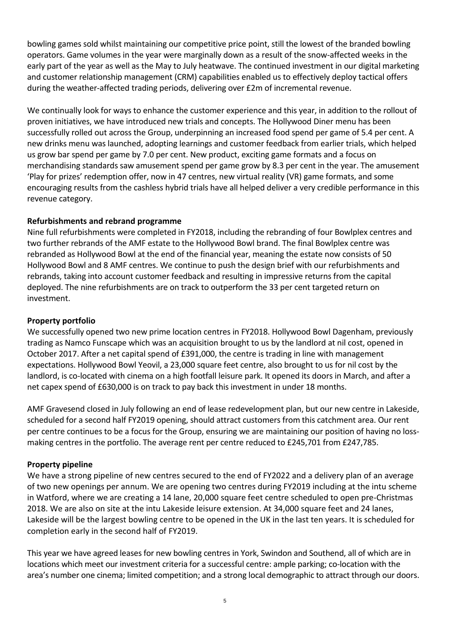bowling games sold whilst maintaining our competitive price point, still the lowest of the branded bowling operators. Game volumes in the year were marginally down as a result of the snow-affected weeks in the early part of the year as well as the May to July heatwave. The continued investment in our digital marketing and customer relationship management (CRM) capabilities enabled us to effectively deploy tactical offers during the weather-affected trading periods, delivering over £2m of incremental revenue.

We continually look for ways to enhance the customer experience and this year, in addition to the rollout of proven initiatives, we have introduced new trials and concepts. The Hollywood Diner menu has been successfully rolled out across the Group, underpinning an increased food spend per game of 5.4 per cent. A new drinks menu was launched, adopting learnings and customer feedback from earlier trials, which helped us grow bar spend per game by 7.0 per cent. New product, exciting game formats and a focus on merchandising standards saw amusement spend per game grow by 8.3 per cent in the year. The amusement 'Play for prizes' redemption offer, now in 47 centres, new virtual reality (VR) game formats, and some encouraging results from the cashless hybrid trials have all helped deliver a very credible performance in this revenue category.

# **Refurbishments and rebrand programme**

Nine full refurbishments were completed in FY2018, including the rebranding of four Bowlplex centres and two further rebrands of the AMF estate to the Hollywood Bowl brand. The final Bowlplex centre was rebranded as Hollywood Bowl at the end of the financial year, meaning the estate now consists of 50 Hollywood Bowl and 8 AMF centres. We continue to push the design brief with our refurbishments and rebrands, taking into account customer feedback and resulting in impressive returns from the capital deployed. The nine refurbishments are on track to outperform the 33 per cent targeted return on investment.

# **Property portfolio**

We successfully opened two new prime location centres in FY2018. Hollywood Bowl Dagenham, previously trading as Namco Funscape which was an acquisition brought to us by the landlord at nil cost, opened in October 2017. After a net capital spend of £391,000, the centre is trading in line with management expectations. Hollywood Bowl Yeovil, a 23,000 square feet centre, also brought to us for nil cost by the landlord, is co-located with cinema on a high footfall leisure park. It opened its doors in March, and after a net capex spend of £630,000 is on track to pay back this investment in under 18 months.

AMF Gravesend closed in July following an end of lease redevelopment plan, but our new centre in Lakeside, scheduled for a second half FY2019 opening, should attract customers from this catchment area. Our rent per centre continues to be a focus for the Group, ensuring we are maintaining our position of having no lossmaking centres in the portfolio. The average rent per centre reduced to £245,701 from £247,785.

# **Property pipeline**

We have a strong pipeline of new centres secured to the end of FY2022 and a delivery plan of an average of two new openings per annum. We are opening two centres during FY2019 including at the intu scheme in Watford, where we are creating a 14 lane, 20,000 square feet centre scheduled to open pre-Christmas 2018. We are also on site at the intu Lakeside leisure extension. At 34,000 square feet and 24 lanes, Lakeside will be the largest bowling centre to be opened in the UK in the last ten years. It is scheduled for completion early in the second half of FY2019.

This year we have agreed leases for new bowling centres in York, Swindon and Southend, all of which are in locations which meet our investment criteria for a successful centre: ample parking; co-location with the area's number one cinema; limited competition; and a strong local demographic to attract through our doors.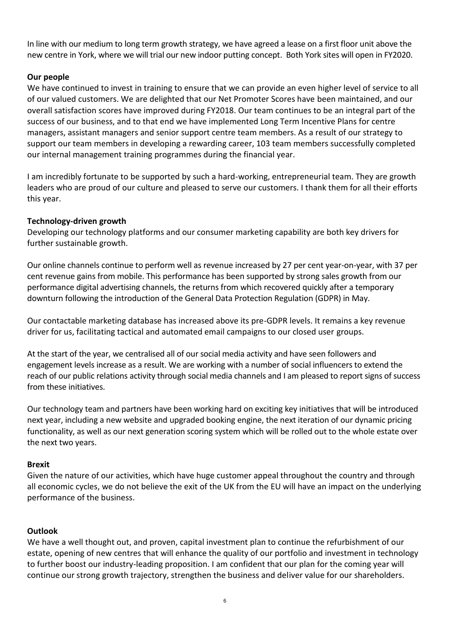In line with our medium to long term growth strategy, we have agreed a lease on a first floor unit above the new centre in York, where we will trial our new indoor putting concept. Both York sites will open in FY2020.

# **Our people**

We have continued to invest in training to ensure that we can provide an even higher level of service to all of our valued customers. We are delighted that our Net Promoter Scores have been maintained, and our overall satisfaction scores have improved during FY2018. Our team continues to be an integral part of the success of our business, and to that end we have implemented Long Term Incentive Plans for centre managers, assistant managers and senior support centre team members. As a result of our strategy to support our team members in developing a rewarding career, 103 team members successfully completed our internal management training programmes during the financial year.

I am incredibly fortunate to be supported by such a hard-working, entrepreneurial team. They are growth leaders who are proud of our culture and pleased to serve our customers. I thank them for all their efforts this year.

### **Technology-driven growth**

Developing our technology platforms and our consumer marketing capability are both key drivers for further sustainable growth.

Our online channels continue to perform well as revenue increased by 27 per cent year-on-year, with 37 per cent revenue gains from mobile. This performance has been supported by strong sales growth from our performance digital advertising channels, the returns from which recovered quickly after a temporary downturn following the introduction of the General Data Protection Regulation (GDPR) in May.

Our contactable marketing database has increased above its pre-GDPR levels. It remains a key revenue driver for us, facilitating tactical and automated email campaigns to our closed user groups.

At the start of the year, we centralised all of our social media activity and have seen followers and engagement levels increase as a result. We are working with a number of social influencers to extend the reach of our public relations activity through social media channels and I am pleased to report signs of success from these initiatives.

Our technology team and partners have been working hard on exciting key initiatives that will be introduced next year, including a new website and upgraded booking engine, the next iteration of our dynamic pricing functionality, as well as our next generation scoring system which will be rolled out to the whole estate over the next two years.

### **Brexit**

Given the nature of our activities, which have huge customer appeal throughout the country and through all economic cycles, we do not believe the exit of the UK from the EU will have an impact on the underlying performance of the business.

### **Outlook**

We have a well thought out, and proven, capital investment plan to continue the refurbishment of our estate, opening of new centres that will enhance the quality of our portfolio and investment in technology to further boost our industry-leading proposition. I am confident that our plan for the coming year will continue our strong growth trajectory, strengthen the business and deliver value for our shareholders.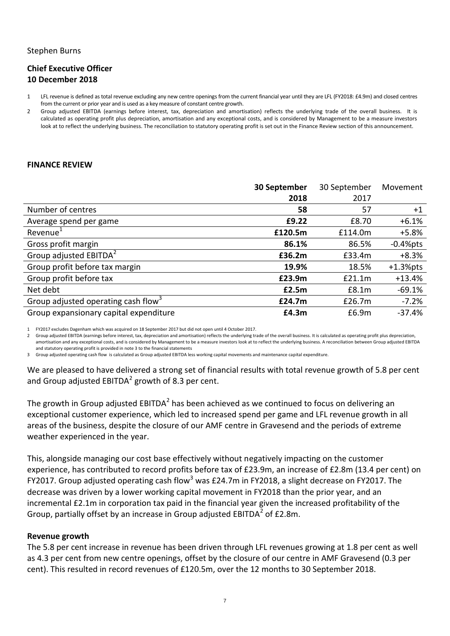#### Stephen Burns

# **Chief Executive Officer 10 December 2018**

- 1 LFL revenue is defined as total revenue excluding any new centre openings from the current financial year until they are LFL (FY2018: £4.9m) and closed centres from the current or prior year and is used as a key measure of constant centre growth.
- 2 Group adjusted EBITDA (earnings before interest, tax, depreciation and amortisation) reflects the underlying trade of the overall business. It is calculated as operating profit plus depreciation, amortisation and any exceptional costs, and is considered by Management to be a measure investors look at to reflect the underlying business. The reconciliation to statutory operating profit is set out in the Finance Review section of this announcement.

#### **FINANCE REVIEW**

|                                                 | 30 September | 30 September | Movement    |
|-------------------------------------------------|--------------|--------------|-------------|
|                                                 | 2018         | 2017         |             |
| Number of centres                               | 58           | 57           | $+1$        |
| Average spend per game                          | £9.22        | £8.70        | $+6.1%$     |
| Revenue <sup>1</sup>                            | £120.5m      | £114.0m      | $+5.8%$     |
| Gross profit margin                             | 86.1%        | 86.5%        | $-0.4%$ pts |
| Group adjusted EBITDA <sup>2</sup>              | £36.2m       | £33.4m       | $+8.3%$     |
| Group profit before tax margin                  | 19.9%        | 18.5%        | $+1.3%$ pts |
| Group profit before tax                         | £23.9m       | £21.1m       | $+13.4%$    |
| Net debt                                        | £2.5m        | £8.1m        | $-69.1%$    |
| Group adjusted operating cash flow <sup>3</sup> | £24.7m       | £26.7m       | $-7.2%$     |
| Group expansionary capital expenditure          | £4.3m        | £6.9m        | $-37.4%$    |

1 FY2017 excludes Dagenham which was acquired on 18 September 2017 but did not open until 4 October 2017.

2 Group adjusted EBITDA (earnings before interest, tax, depreciation and amortisation) reflects the underlying trade of the overall business. It is calculated as operating profit plus depreciation, amortisation and any exceptional costs, and is considered by Management to be a measure investors look at to reflect the underlying business. A reconciliation between Group adjusted EBITDA and statutory operating profit is provided in note 3 to the financial statements

3 Group adjusted operating cash flow is calculated as Group adjusted EBITDA less working capital movements and maintenance capital expenditure.

We are pleased to have delivered a strong set of financial results with total revenue growth of 5.8 per cent and Group adjusted EBITDA<sup>2</sup> growth of 8.3 per cent.

The growth in Group adjusted EBITDA<sup>2</sup> has been achieved as we continued to focus on delivering an exceptional customer experience, which led to increased spend per game and LFL revenue growth in all areas of the business, despite the closure of our AMF centre in Gravesend and the periods of extreme weather experienced in the year.

This, alongside managing our cost base effectively without negatively impacting on the customer experience, has contributed to record profits before tax of £23.9m, an increase of £2.8m (13.4 per cent) on FY2017. Group adjusted operating cash flow<sup>3</sup> was £24.7m in FY2018, a slight decrease on FY2017. The decrease was driven by a lower working capital movement in FY2018 than the prior year, and an incremental £2.1m in corporation tax paid in the financial year given the increased profitability of the Group, partially offset by an increase in Group adjusted EBITDA<sup>2</sup> of £2.8m.

#### **Revenue growth**

The 5.8 per cent increase in revenue has been driven through LFL revenues growing at 1.8 per cent as well as 4.3 per cent from new centre openings, offset by the closure of our centre in AMF Gravesend (0.3 per cent). This resulted in record revenues of £120.5m, over the 12 months to 30 September 2018.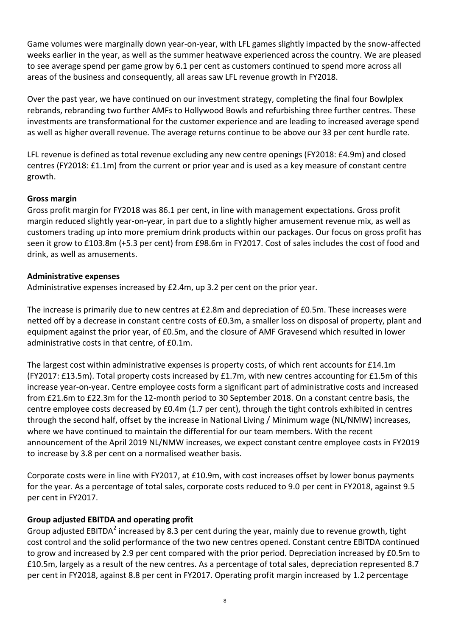Game volumes were marginally down year-on-year, with LFL games slightly impacted by the snow-affected weeks earlier in the year, as well as the summer heatwave experienced across the country. We are pleased to see average spend per game grow by 6.1 per cent as customers continued to spend more across all areas of the business and consequently, all areas saw LFL revenue growth in FY2018.

Over the past year, we have continued on our investment strategy, completing the final four Bowlplex rebrands, rebranding two further AMFs to Hollywood Bowls and refurbishing three further centres. These investments are transformational for the customer experience and are leading to increased average spend as well as higher overall revenue. The average returns continue to be above our 33 per cent hurdle rate.

LFL revenue is defined as total revenue excluding any new centre openings (FY2018: £4.9m) and closed centres (FY2018: £1.1m) from the current or prior year and is used as a key measure of constant centre growth.

# **Gross margin**

Gross profit margin for FY2018 was 86.1 per cent, in line with management expectations. Gross profit margin reduced slightly year-on-year, in part due to a slightly higher amusement revenue mix, as well as customers trading up into more premium drink products within our packages. Our focus on gross profit has seen it grow to £103.8m (+5.3 per cent) from £98.6m in FY2017. Cost of sales includes the cost of food and drink, as well as amusements.

# **Administrative expenses**

Administrative expenses increased by £2.4m, up 3.2 per cent on the prior year.

The increase is primarily due to new centres at £2.8m and depreciation of £0.5m. These increases were netted off by a decrease in constant centre costs of £0.3m, a smaller loss on disposal of property, plant and equipment against the prior year, of £0.5m, and the closure of AMF Gravesend which resulted in lower administrative costs in that centre, of £0.1m.

The largest cost within administrative expenses is property costs, of which rent accounts for £14.1m (FY2017: £13.5m). Total property costs increased by £1.7m, with new centres accounting for £1.5m of this increase year-on-year. Centre employee costs form a significant part of administrative costs and increased from £21.6m to £22.3m for the 12-month period to 30 September 2018. On a constant centre basis, the centre employee costs decreased by £0.4m (1.7 per cent), through the tight controls exhibited in centres through the second half, offset by the increase in National Living / Minimum wage (NL/NMW) increases, where we have continued to maintain the differential for our team members. With the recent announcement of the April 2019 NL/NMW increases, we expect constant centre employee costs in FY2019 to increase by 3.8 per cent on a normalised weather basis.

Corporate costs were in line with FY2017, at £10.9m, with cost increases offset by lower bonus payments for the year. As a percentage of total sales, corporate costs reduced to 9.0 per cent in FY2018, against 9.5 per cent in FY2017.

# **Group adjusted EBITDA and operating profit**

Group adjusted EBITDA<sup>2</sup> increased by 8.3 per cent during the year, mainly due to revenue growth, tight cost control and the solid performance of the two new centres opened. Constant centre EBITDA continued to grow and increased by 2.9 per cent compared with the prior period. Depreciation increased by £0.5m to £10.5m, largely as a result of the new centres. As a percentage of total sales, depreciation represented 8.7 per cent in FY2018, against 8.8 per cent in FY2017. Operating profit margin increased by 1.2 percentage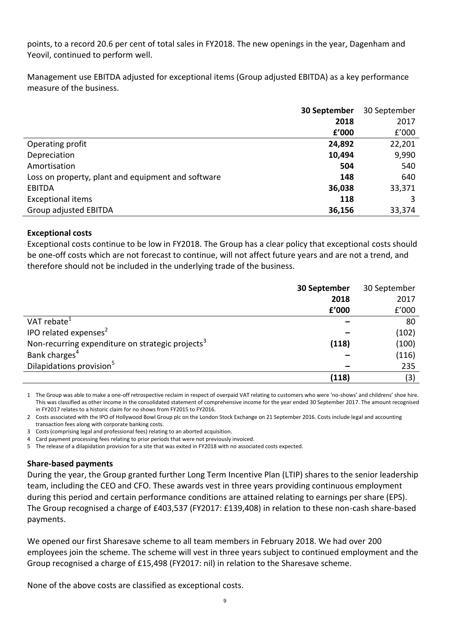points, to a record 20.6 per cent of total sales in FY2018. The new openings in the year, Dagenham and Yeovil, continued to perform well.

Management use EBITDA adjusted for exceptional items (Group adjusted EBITDA) as a key performance measure of the business.

|                                                    | 30 September | 30 September |
|----------------------------------------------------|--------------|--------------|
|                                                    | 2018         | 2017         |
|                                                    | f'000        | £'000        |
| Operating profit                                   | 24,892       | 22,201       |
| Depreciation                                       | 10,494       | 9,990        |
| Amortisation                                       | 504          | 540          |
| Loss on property, plant and equipment and software | 148          | 640          |
| EBITDA                                             | 36,038       | 33,371       |
| <b>Exceptional items</b>                           | 118          |              |
| Group adjusted EBITDA                              | 36,156       | 33,374       |

### **Exceptional costs**

Exceptional costs continue to be low in FY2018. The Group has a clear policy that exceptional costs should be one-off costs which are not forecast to continue, will not affect future years and are not a trend, and therefore should not be included in the underlying trade of the business.

|                                                              | 30 September | 30 September |
|--------------------------------------------------------------|--------------|--------------|
|                                                              | 2018         | 2017         |
|                                                              | f'000        | £'000        |
| VAT rebate <sup>1</sup>                                      |              | 80           |
| IPO related expenses <sup>2</sup>                            |              | (102)        |
| Non-recurring expenditure on strategic projects <sup>3</sup> | (118)        | (100)        |
| Bank charges <sup>4</sup>                                    |              | (116)        |
| Dilapidations provision <sup>5</sup>                         |              | 235          |
|                                                              | (118)        | (3)          |

1 The Group was able to make a one-off retrospective reclaim in respect of overpaid VAT relating to customers who were 'no-shows' and childrens' shoe hire. This was classified as other income in the consolidated statement of comprehensive income for the year ended 30 September 2017. The amount recognised in FY2017 relates to a historic claim for no shows from FY2015 to FY2016.

2 Costs associated with the IPO of Hollywood Bowl Group plc on the London Stock Exchange on 21 September 2016. Costs include legal and accounting transaction fees along with corporate banking costs.

3 Costs (comprising legal and professional fees) relating to an aborted acquisition.

4 Card payment processing fees relating to prior periods that were not previously invoiced.

5 The release of a dilapidation provision for a site that was exited in FY2018 with no associated costs expected.

### **Share-based payments**

During the year, the Group granted further Long Term Incentive Plan (LTIP) shares to the senior leadership team, including the CEO and CFO. These awards vest in three years providing continuous employment during this period and certain performance conditions are attained relating to earnings per share (EPS). The Group recognised a charge of £403,537 (FY2017: £139,408) in relation to these non-cash share-based payments.

We opened our first Sharesave scheme to all team members in February 2018. We had over 200 employees join the scheme. The scheme will vest in three years subject to continued employment and the Group recognised a charge of £15,498 (FY2017: nil) in relation to the Sharesave scheme.

None of the above costs are classified as exceptional costs.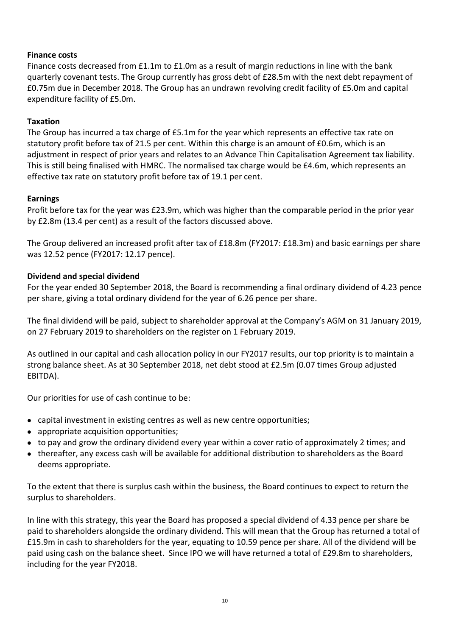# **Finance costs**

Finance costs decreased from £1.1m to £1.0m as a result of margin reductions in line with the bank quarterly covenant tests. The Group currently has gross debt of £28.5m with the next debt repayment of £0.75m due in December 2018. The Group has an undrawn revolving credit facility of £5.0m and capital expenditure facility of £5.0m.

# **Taxation**

The Group has incurred a tax charge of £5.1m for the year which represents an effective tax rate on statutory profit before tax of 21.5 per cent. Within this charge is an amount of £0.6m, which is an adjustment in respect of prior years and relates to an Advance Thin Capitalisation Agreement tax liability. This is still being finalised with HMRC. The normalised tax charge would be £4.6m, which represents an effective tax rate on statutory profit before tax of 19.1 per cent.

### **Earnings**

Profit before tax for the year was £23.9m, which was higher than the comparable period in the prior year by £2.8m (13.4 per cent) as a result of the factors discussed above.

The Group delivered an increased profit after tax of £18.8m (FY2017: £18.3m) and basic earnings per share was 12.52 pence (FY2017: 12.17 pence).

### **Dividend and special dividend**

For the year ended 30 September 2018, the Board is recommending a final ordinary dividend of 4.23 pence per share, giving a total ordinary dividend for the year of 6.26 pence per share.

The final dividend will be paid, subject to shareholder approval at the Company's AGM on 31 January 2019, on 27 February 2019 to shareholders on the register on 1 February 2019.

As outlined in our capital and cash allocation policy in our FY2017 results, our top priority is to maintain a strong balance sheet. As at 30 September 2018, net debt stood at £2.5m (0.07 times Group adjusted EBITDA).

Our priorities for use of cash continue to be:

- capital investment in existing centres as well as new centre opportunities;
- appropriate acquisition opportunities;
- to pay and grow the ordinary dividend every year within a cover ratio of approximately 2 times; and
- thereafter, any excess cash will be available for additional distribution to shareholders as the Board deems appropriate.

To the extent that there is surplus cash within the business, the Board continues to expect to return the surplus to shareholders.

In line with this strategy, this year the Board has proposed a special dividend of 4.33 pence per share be paid to shareholders alongside the ordinary dividend. This will mean that the Group has returned a total of £15.9m in cash to shareholders for the year, equating to 10.59 pence per share. All of the dividend will be paid using cash on the balance sheet. Since IPO we will have returned a total of £29.8m to shareholders, including for the year FY2018.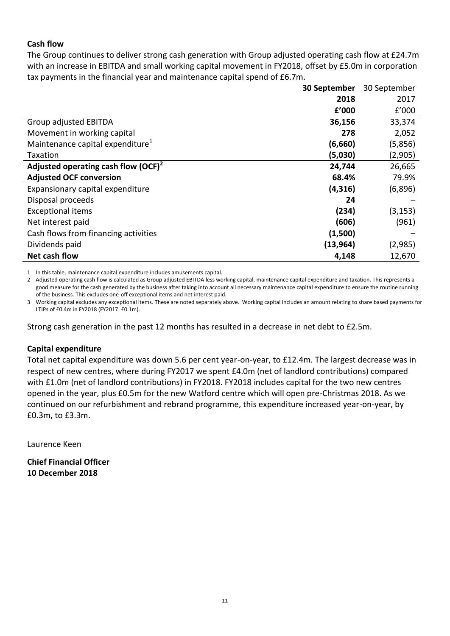# **Cash flow**

The Group continues to deliver strong cash generation with Group adjusted operating cash flow at £24.7m with an increase in EBITDA and small working capital movement in FY2018, offset by £5.0m in corporation tax payments in the financial year and maintenance capital spend of £6.7m.

|                                              | 30 September | 30 September |
|----------------------------------------------|--------------|--------------|
|                                              | 2018         | 2017         |
|                                              | £'000        | £'000        |
| Group adjusted EBITDA                        | 36,156       | 33,374       |
| Movement in working capital                  | 278          | 2,052        |
| Maintenance capital expenditure <sup>1</sup> | (6,660)      | (5,856)      |
| Taxation                                     | (5,030)      | (2,905)      |
| Adjusted operating cash flow $(OCF)^2$       | 24,744       | 26,665       |
| <b>Adjusted OCF conversion</b>               | 68.4%        | 79.9%        |
| Expansionary capital expenditure             | (4, 316)     | (6,896)      |
| Disposal proceeds                            | 24           |              |
| <b>Exceptional items</b>                     | (234)        | (3, 153)     |
| Net interest paid                            | (606)        | (961)        |
| Cash flows from financing activities         | (1,500)      |              |
| Dividends paid                               | (13, 964)    | (2,985)      |
| Net cash flow                                | 4,148        | 12,670       |

1 In this table, maintenance capital expenditure includes amusements capital.

2 Adjusted operating cash flow is calculated as Group adjusted EBITDA less working capital, maintenance capital expenditure and taxation. This represents a good measure for the cash generated by the business after taking into account all necessary maintenance capital expenditure to ensure the routine running of the business. This excludes one-off exceptional items and net interest paid.

3 Working capital excludes any exceptional items. These are noted separately above. Working capital includes an amount relating to share based payments for LTIPs of £0.4m in FY2018 (FY2017: £0.1m).

Strong cash generation in the past 12 months has resulted in a decrease in net debt to £2.5m.

### **Capital expenditure**

Total net capital expenditure was down 5.6 per cent year-on-year, to £12.4m. The largest decrease was in respect of new centres, where during FY2017 we spent £4.0m (net of landlord contributions) compared with £1.0m (net of landlord contributions) in FY2018. FY2018 includes capital for the two new centres opened in the year, plus £0.5m for the new Watford centre which will open pre-Christmas 2018. As we continued on our refurbishment and rebrand programme, this expenditure increased year-on-year, by £0.3m, to £3.3m.

Laurence Keen

**Chief Financial Officer 10 December 2018**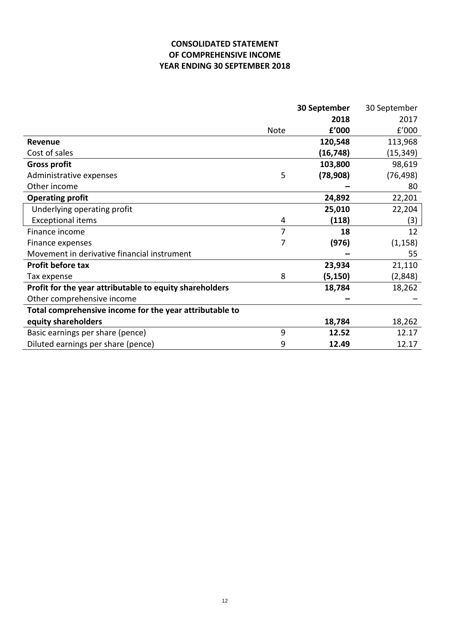# **CONSOLIDATED STATEMENT OF COMPREHENSIVE INCOME YEAR ENDING 30 SEPTEMBER 2018**

|                                                         |      | 30 September | 30 September |
|---------------------------------------------------------|------|--------------|--------------|
|                                                         |      | 2018         | 2017         |
|                                                         | Note | f'000        | f'000        |
| <b>Revenue</b>                                          |      | 120,548      | 113,968      |
| Cost of sales                                           |      | (16, 748)    | (15,349)     |
| <b>Gross profit</b>                                     |      | 103,800      | 98,619       |
| Administrative expenses                                 | 5    | (78, 908)    | (76, 498)    |
| Other income                                            |      |              | 80           |
| <b>Operating profit</b>                                 |      | 24,892       | 22,201       |
| Underlying operating profit                             |      | 25,010       | 22,204       |
| <b>Exceptional items</b>                                | 4    | (118)        | (3)          |
| Finance income                                          | 7    | 18           | 12           |
| Finance expenses                                        | 7    | (976)        | (1, 158)     |
| Movement in derivative financial instrument             |      |              | 55           |
| <b>Profit before tax</b>                                |      | 23,934       | 21,110       |
| Tax expense                                             | 8    | (5, 150)     | (2,848)      |
| Profit for the year attributable to equity shareholders |      | 18,784       | 18,262       |
| Other comprehensive income                              |      |              |              |
| Total comprehensive income for the year attributable to |      |              |              |
| equity shareholders                                     |      | 18,784       | 18,262       |
| Basic earnings per share (pence)                        | 9    | 12.52        | 12.17        |
| Diluted earnings per share (pence)                      | 9    | 12.49        | 12.17        |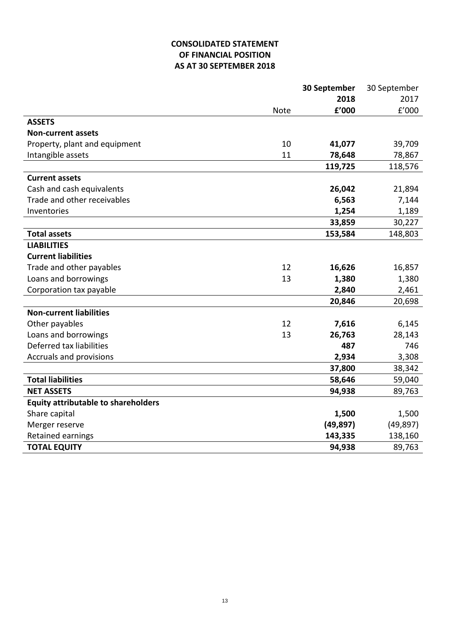# **CONSOLIDATED STATEMENT OF FINANCIAL POSITION AS AT 30 SEPTEMBER 2018**

|                                            |             | 30 September | 30 September |
|--------------------------------------------|-------------|--------------|--------------|
|                                            |             | 2018         | 2017         |
|                                            | <b>Note</b> | f'000        | f'000        |
| <b>ASSETS</b>                              |             |              |              |
| <b>Non-current assets</b>                  |             |              |              |
| Property, plant and equipment              | 10          | 41,077       | 39,709       |
| Intangible assets                          | 11          | 78,648       | 78,867       |
|                                            |             | 119,725      | 118,576      |
| <b>Current assets</b>                      |             |              |              |
| Cash and cash equivalents                  |             | 26,042       | 21,894       |
| Trade and other receivables                |             | 6,563        | 7,144        |
| Inventories                                |             | 1,254        | 1,189        |
|                                            |             | 33,859       | 30,227       |
| <b>Total assets</b>                        |             | 153,584      | 148,803      |
| <b>LIABILITIES</b>                         |             |              |              |
| <b>Current liabilities</b>                 |             |              |              |
| Trade and other payables                   | 12          | 16,626       | 16,857       |
| Loans and borrowings                       | 13          | 1,380        | 1,380        |
| Corporation tax payable                    |             | 2,840        | 2,461        |
|                                            |             | 20,846       | 20,698       |
| <b>Non-current liabilities</b>             |             |              |              |
| Other payables                             | 12          | 7,616        | 6,145        |
| Loans and borrowings                       | 13          | 26,763       | 28,143       |
| Deferred tax liabilities                   |             | 487          | 746          |
| Accruals and provisions                    |             | 2,934        | 3,308        |
|                                            |             | 37,800       | 38,342       |
| <b>Total liabilities</b>                   |             | 58,646       | 59,040       |
| <b>NET ASSETS</b>                          |             | 94,938       | 89,763       |
| <b>Equity attributable to shareholders</b> |             |              |              |
| Share capital                              |             | 1,500        | 1,500        |
| Merger reserve                             |             | (49, 897)    | (49, 897)    |
| Retained earnings                          |             | 143,335      | 138,160      |
| <b>TOTAL EQUITY</b>                        |             | 94,938       | 89,763       |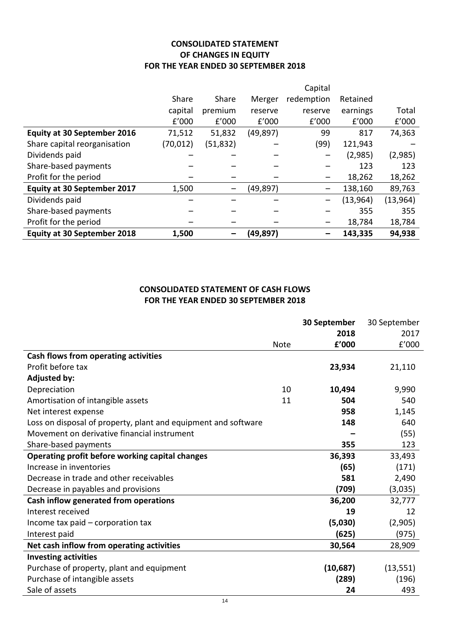# **CONSOLIDATED STATEMENT OF CHANGES IN EQUITY FOR THE YEAR ENDED 30 SEPTEMBER 2018**

|                                    |           |           |           | Capital    |           |           |
|------------------------------------|-----------|-----------|-----------|------------|-----------|-----------|
|                                    | Share     | Share     | Merger    | redemption | Retained  |           |
|                                    | capital   | premium   | reserve   | reserve    | earnings  | Total     |
|                                    | f'000     | f'000     | f'000     | f'000      | f'000     | f'000     |
| <b>Equity at 30 September 2016</b> | 71,512    | 51,832    | (49, 897) | 99         | 817       | 74,363    |
| Share capital reorganisation       | (70, 012) | (51, 832) |           | (99)       | 121,943   |           |
| Dividends paid                     |           |           |           |            | (2,985)   | (2,985)   |
| Share-based payments               |           |           |           |            | 123       | 123       |
| Profit for the period              |           |           |           |            | 18,262    | 18,262    |
| <b>Equity at 30 September 2017</b> | 1,500     |           | (49,897)  | -          | 138,160   | 89,763    |
| Dividends paid                     |           |           |           |            | (13, 964) | (13, 964) |
| Share-based payments               |           |           |           |            | 355       | 355       |
| Profit for the period              |           |           |           |            | 18,784    | 18,784    |
| <b>Equity at 30 September 2018</b> | 1,500     |           | (49,897)  |            | 143,335   | 94,938    |

# **CONSOLIDATED STATEMENT OF CASH FLOWS FOR THE YEAR ENDED 30 SEPTEMBER 2018**

|                                                                |             | 30 September | 30 September |
|----------------------------------------------------------------|-------------|--------------|--------------|
|                                                                |             | 2018         | 2017         |
|                                                                | <b>Note</b> | f'000        | f'000        |
| Cash flows from operating activities                           |             |              |              |
| Profit before tax                                              |             | 23,934       | 21,110       |
| <b>Adjusted by:</b>                                            |             |              |              |
| Depreciation                                                   | 10          | 10,494       | 9,990        |
| Amortisation of intangible assets                              | 11          | 504          | 540          |
| Net interest expense                                           |             | 958          | 1,145        |
| Loss on disposal of property, plant and equipment and software |             | 148          | 640          |
| Movement on derivative financial instrument                    |             |              | (55)         |
| Share-based payments                                           |             | 355          | 123          |
| Operating profit before working capital changes                |             | 36,393       | 33,493       |
| Increase in inventories                                        |             | (65)         | (171)        |
| Decrease in trade and other receivables                        |             | 581          | 2,490        |
| Decrease in payables and provisions                            |             | (709)        | (3,035)      |
| Cash inflow generated from operations                          |             | 36,200       | 32,777       |
| Interest received                                              |             | 19           | 12           |
| Income tax paid – corporation tax                              |             | (5,030)      | (2,905)      |
| Interest paid                                                  |             | (625)        | (975)        |
| Net cash inflow from operating activities                      |             | 30,564       | 28,909       |
| <b>Investing activities</b>                                    |             |              |              |
| Purchase of property, plant and equipment                      |             | (10,687)     | (13, 551)    |
| Purchase of intangible assets                                  |             | (289)        | (196)        |
| Sale of assets                                                 |             | 24           | 493          |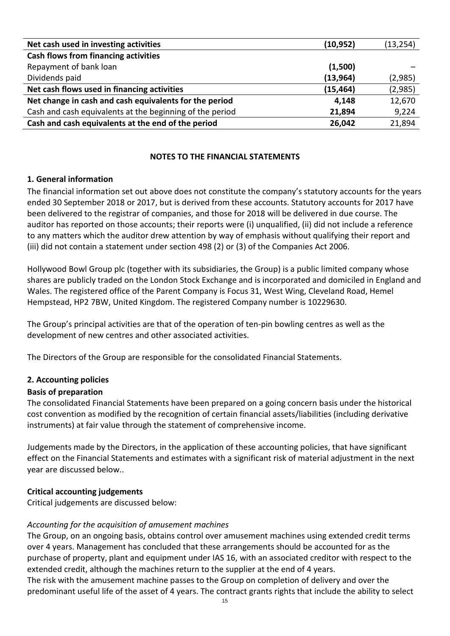| Net cash used in investing activities                    | (10, 952) | (13, 254) |
|----------------------------------------------------------|-----------|-----------|
| Cash flows from financing activities                     |           |           |
| Repayment of bank loan                                   | (1,500)   |           |
| Dividends paid                                           | (13, 964) | (2,985)   |
| Net cash flows used in financing activities              | (15, 464) | (2,985)   |
| Net change in cash and cash equivalents for the period   | 4,148     | 12,670    |
| Cash and cash equivalents at the beginning of the period | 21,894    | 9,224     |
| Cash and cash equivalents at the end of the period       | 26,042    | 21,894    |

## **NOTES TO THE FINANCIAL STATEMENTS**

### **1. General information**

The financial information set out above does not constitute the company's statutory accounts for the years ended 30 September 2018 or 2017, but is derived from these accounts. Statutory accounts for 2017 have been delivered to the registrar of companies, and those for 2018 will be delivered in due course. The auditor has reported on those accounts; their reports were (i) unqualified, (ii) did not include a reference to any matters which the auditor drew attention by way of emphasis without qualifying their report and (iii) did not contain a statement under section 498 (2) or (3) of the Companies Act 2006.

Hollywood Bowl Group plc (together with its subsidiaries, the Group) is a public limited company whose shares are publicly traded on the London Stock Exchange and is incorporated and domiciled in England and Wales. The registered office of the Parent Company is Focus 31, West Wing, Cleveland Road, Hemel Hempstead, HP2 7BW, United Kingdom. The registered Company number is 10229630.

The Group's principal activities are that of the operation of ten-pin bowling centres as well as the development of new centres and other associated activities.

The Directors of the Group are responsible for the consolidated Financial Statements.

# **2. Accounting policies**

# **Basis of preparation**

The consolidated Financial Statements have been prepared on a going concern basis under the historical cost convention as modified by the recognition of certain financial assets/liabilities (including derivative instruments) at fair value through the statement of comprehensive income.

Judgements made by the Directors, in the application of these accounting policies, that have significant effect on the Financial Statements and estimates with a significant risk of material adjustment in the next year are discussed below..

### **Critical accounting judgements**

Critical judgements are discussed below:

### *Accounting for the acquisition of amusement machines*

The Group, on an ongoing basis, obtains control over amusement machines using extended credit terms over 4 years. Management has concluded that these arrangements should be accounted for as the purchase of property, plant and equipment under IAS 16, with an associated creditor with respect to the extended credit, although the machines return to the supplier at the end of 4 years.

The risk with the amusement machine passes to the Group on completion of delivery and over the predominant useful life of the asset of 4 years. The contract grants rights that include the ability to select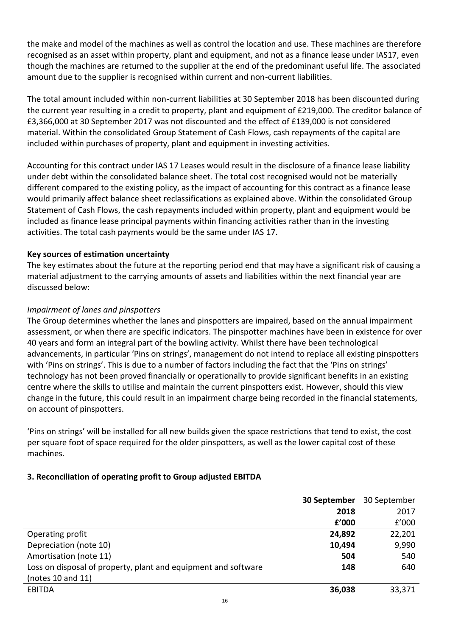the make and model of the machines as well as control the location and use. These machines are therefore recognised as an asset within property, plant and equipment, and not as a finance lease under IAS17, even though the machines are returned to the supplier at the end of the predominant useful life. The associated amount due to the supplier is recognised within current and non-current liabilities.

The total amount included within non-current liabilities at 30 September 2018 has been discounted during the current year resulting in a credit to property, plant and equipment of £219,000. The creditor balance of £3,366,000 at 30 September 2017 was not discounted and the effect of £139,000 is not considered material. Within the consolidated Group Statement of Cash Flows, cash repayments of the capital are included within purchases of property, plant and equipment in investing activities.

Accounting for this contract under IAS 17 Leases would result in the disclosure of a finance lease liability under debt within the consolidated balance sheet. The total cost recognised would not be materially different compared to the existing policy, as the impact of accounting for this contract as a finance lease would primarily affect balance sheet reclassifications as explained above. Within the consolidated Group Statement of Cash Flows, the cash repayments included within property, plant and equipment would be included as finance lease principal payments within financing activities rather than in the investing activities. The total cash payments would be the same under IAS 17.

# **Key sources of estimation uncertainty**

The key estimates about the future at the reporting period end that may have a significant risk of causing a material adjustment to the carrying amounts of assets and liabilities within the next financial year are discussed below:

# *Impairment of lanes and pinspotters*

The Group determines whether the lanes and pinspotters are impaired, based on the annual impairment assessment, or when there are specific indicators. The pinspotter machines have been in existence for over 40 years and form an integral part of the bowling activity. Whilst there have been technological advancements, in particular 'Pins on strings', management do not intend to replace all existing pinspotters with 'Pins on strings'. This is due to a number of factors including the fact that the 'Pins on strings' technology has not been proved financially or operationally to provide significant benefits in an existing centre where the skills to utilise and maintain the current pinspotters exist. However, should this view change in the future, this could result in an impairment charge being recorded in the financial statements, on account of pinspotters.

'Pins on strings' will be installed for all new builds given the space restrictions that tend to exist, the cost per square foot of space required for the older pinspotters, as well as the lower capital cost of these machines.

# **3. Reconciliation of operating profit to Group adjusted EBITDA**

|                                                                | 30 September | 30 September |
|----------------------------------------------------------------|--------------|--------------|
|                                                                | 2018         | 2017         |
|                                                                | f'000        | £'000        |
| Operating profit                                               | 24,892       | 22,201       |
| Depreciation (note 10)                                         | 10,494       | 9,990        |
| Amortisation (note 11)                                         | 504          | 540          |
| Loss on disposal of property, plant and equipment and software | 148          | 640          |
| (notes 10 and 11)                                              |              |              |
| <b>EBITDA</b>                                                  | 36,038       | 33,371       |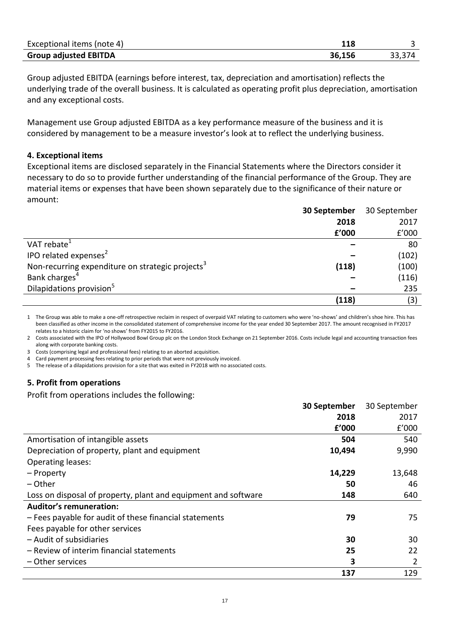| Exceptional items (note 4)   | ⊥⊥○    |  |
|------------------------------|--------|--|
| <b>Group adjusted EBITDA</b> | 36,156 |  |

Group adjusted EBITDA (earnings before interest, tax, depreciation and amortisation) reflects the underlying trade of the overall business. It is calculated as operating profit plus depreciation, amortisation and any exceptional costs.

Management use Group adjusted EBITDA as a key performance measure of the business and it is considered by management to be a measure investor's look at to reflect the underlying business.

#### **4. Exceptional items**

Exceptional items are disclosed separately in the Financial Statements where the Directors consider it necessary to do so to provide further understanding of the financial performance of the Group. They are material items or expenses that have been shown separately due to the significance of their nature or amount:

|                                                              | 30 September | 30 September |
|--------------------------------------------------------------|--------------|--------------|
|                                                              | 2018         | 2017         |
|                                                              | f'000        | f'000        |
| VAT rebate <sup>1</sup>                                      |              | 80           |
| IPO related expenses <sup>2</sup>                            |              | (102)        |
| Non-recurring expenditure on strategic projects <sup>3</sup> | (118)        | (100)        |
| Bank charges <sup>4</sup>                                    |              | (116)        |
| Dilapidations provision <sup>5</sup>                         |              | 235          |
|                                                              | (118)        | (3)          |

1 The Group was able to make a one-off retrospective reclaim in respect of overpaid VAT relating to customers who were 'no-shows' and children's shoe hire. This has been classified as other income in the consolidated statement of comprehensive income for the year ended 30 September 2017. The amount recognised in FY2017 relates to a historic claim for 'no shows' from FY2015 to FY2016.

2 Costs associated with the IPO of Hollywood Bowl Group plc on the London Stock Exchange on 21 September 2016. Costs include legal and accounting transaction fees along with corporate banking costs.

3 Costs (comprising legal and professional fees) relating to an aborted acquisition.

4 Card payment processing fees relating to prior periods that were not previously invoiced.

5 The release of a dilapidations provision for a site that was exited in FY2018 with no associated costs.

### **5. Profit from operations**

Profit from operations includes the following:

|                                                                | 30 September | 30 September |
|----------------------------------------------------------------|--------------|--------------|
|                                                                | 2018         | 2017         |
|                                                                | f'000        | f'000        |
| Amortisation of intangible assets                              | 504          | 540          |
| Depreciation of property, plant and equipment                  | 10,494       | 9,990        |
| <b>Operating leases:</b>                                       |              |              |
| - Property                                                     | 14,229       | 13,648       |
| – Other                                                        | 50           | 46           |
| Loss on disposal of property, plant and equipment and software | 148          | 640          |
| <b>Auditor's remuneration:</b>                                 |              |              |
| - Fees payable for audit of these financial statements         | 79           | 75           |
| Fees payable for other services                                |              |              |
| - Audit of subsidiaries                                        | 30           | 30           |
| - Review of interim financial statements                       | 25           | 22           |
| - Other services                                               | 3            | 2            |
|                                                                | 137          | 129          |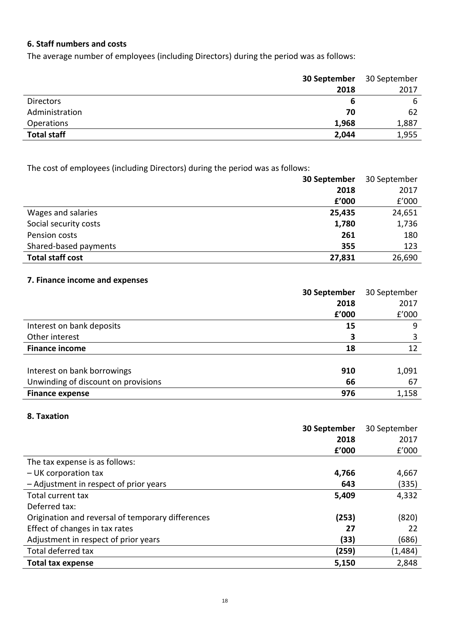# **6. Staff numbers and costs**

The average number of employees (including Directors) during the period was as follows:

|                    | 30 September | 30 September |
|--------------------|--------------|--------------|
|                    | 2018         | 2017         |
| <b>Directors</b>   | 6            | 6            |
| Administration     | 70           | 62           |
| Operations         | 1,968        | 1,887        |
| <b>Total staff</b> | 2,044        | 1,955        |

The cost of employees (including Directors) during the period was as follows:

|                         | 30 September | 30 September |
|-------------------------|--------------|--------------|
|                         | 2018         | 2017         |
|                         | £'000        | E'000        |
| Wages and salaries      | 25,435       | 24,651       |
| Social security costs   | 1,780        | 1,736        |
| Pension costs           | 261          | 180          |
| Shared-based payments   | 355          | 123          |
| <b>Total staff cost</b> | 27,831       | 26,690       |

# **7. Finance income and expenses**

|                                     | 30 September | 30 September |
|-------------------------------------|--------------|--------------|
|                                     | 2018         | 2017         |
|                                     | f'000        | f'000        |
| Interest on bank deposits           | 15           | 9            |
| Other interest                      | 3            |              |
| <b>Finance income</b>               | 18           | 12           |
|                                     |              |              |
| Interest on bank borrowings         | 910          | 1,091        |
| Unwinding of discount on provisions | 66           | 67           |
| <b>Finance expense</b>              | 976          | 1,158        |

### **8. Taxation**

|                                                   | 30 September | 30 September |
|---------------------------------------------------|--------------|--------------|
|                                                   | 2018         | 2017         |
|                                                   | f'000        | f'000        |
| The tax expense is as follows:                    |              |              |
| - UK corporation tax                              | 4,766        | 4,667        |
| - Adjustment in respect of prior years            | 643          | (335)        |
| Total current tax                                 | 5,409        | 4,332        |
| Deferred tax:                                     |              |              |
| Origination and reversal of temporary differences | (253)        | (820)        |
| Effect of changes in tax rates                    | 27           | 22           |
| Adjustment in respect of prior years              | (33)         | (686)        |
| Total deferred tax                                | (259)        | (1,484)      |
| <b>Total tax expense</b>                          | 5,150        | 2,848        |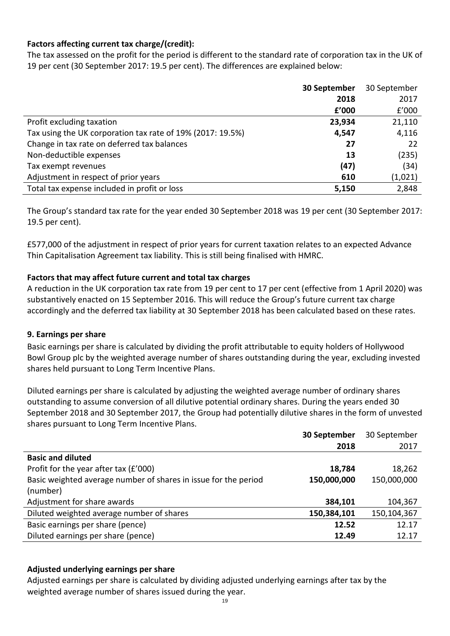# **Factors affecting current tax charge/(credit):**

The tax assessed on the profit for the period is different to the standard rate of corporation tax in the UK of 19 per cent (30 September 2017: 19.5 per cent). The differences are explained below:

|                                                            | 30 September | 30 September |
|------------------------------------------------------------|--------------|--------------|
|                                                            | 2018         | 2017         |
|                                                            | £'000        | f'000        |
| Profit excluding taxation                                  | 23,934       | 21,110       |
| Tax using the UK corporation tax rate of 19% (2017: 19.5%) | 4,547        | 4,116        |
| Change in tax rate on deferred tax balances                | 27           | 22           |
| Non-deductible expenses                                    | 13           | (235)        |
| Tax exempt revenues                                        | (47)         | (34)         |
| Adjustment in respect of prior years                       | 610          | (1,021)      |
| Total tax expense included in profit or loss               | 5,150        | 2,848        |

The Group's standard tax rate for the year ended 30 September 2018 was 19 per cent (30 September 2017: 19.5 per cent).

£577,000 of the adjustment in respect of prior years for current taxation relates to an expected Advance Thin Capitalisation Agreement tax liability. This is still being finalised with HMRC.

# **Factors that may affect future current and total tax charges**

A reduction in the UK corporation tax rate from 19 per cent to 17 per cent (effective from 1 April 2020) was substantively enacted on 15 September 2016. This will reduce the Group's future current tax charge accordingly and the deferred tax liability at 30 September 2018 has been calculated based on these rates.

### **9. Earnings per share**

Basic earnings per share is calculated by dividing the profit attributable to equity holders of Hollywood Bowl Group plc by the weighted average number of shares outstanding during the year, excluding invested shares held pursuant to Long Term Incentive Plans.

Diluted earnings per share is calculated by adjusting the weighted average number of ordinary shares outstanding to assume conversion of all dilutive potential ordinary shares. During the years ended 30 September 2018 and 30 September 2017, the Group had potentially dilutive shares in the form of unvested shares pursuant to Long Term Incentive Plans.

|                                                                 | 30 September | 30 September |
|-----------------------------------------------------------------|--------------|--------------|
|                                                                 | 2018         | 2017         |
| <b>Basic and diluted</b>                                        |              |              |
| Profit for the year after tax (£'000)                           | 18,784       | 18,262       |
| Basic weighted average number of shares in issue for the period | 150,000,000  | 150,000,000  |
| (number)                                                        |              |              |
| Adjustment for share awards                                     | 384,101      | 104,367      |
| Diluted weighted average number of shares                       | 150,384,101  | 150,104,367  |
| Basic earnings per share (pence)                                | 12.52        | 12.17        |
| Diluted earnings per share (pence)                              | 12.49        | 12.17        |

### **Adjusted underlying earnings per share**

Adjusted earnings per share is calculated by dividing adjusted underlying earnings after tax by the weighted average number of shares issued during the year.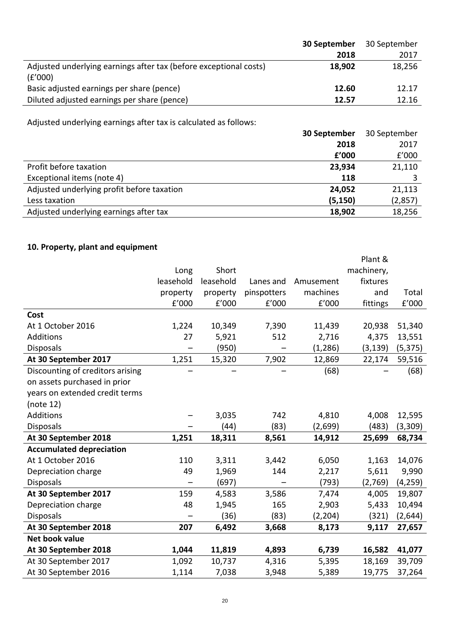| 30 September | 30 September |
|--------------|--------------|
| 2018         | 2017         |
| 18,902       | 18,256       |
| 12.60        | 12.17        |
| 12.57        | 12.16        |
|              |              |

Adjusted underlying earnings after tax is calculated as follows:

|                                            | 30 September | 30 September |
|--------------------------------------------|--------------|--------------|
|                                            | 2018         | 2017         |
|                                            | £'000        | f'000        |
| Profit before taxation                     | 23,934       | 21,110       |
| Exceptional items (note 4)                 | 118          |              |
| Adjusted underlying profit before taxation | 24,052       | 21,113       |
| Less taxation                              | (5, 150)     | (2,857)      |
| Adjusted underlying earnings after tax     | 18,902       | 18,256       |

# **10. Property, plant and equipment**

|                                  |           |           |             |           | Plant &    |          |
|----------------------------------|-----------|-----------|-------------|-----------|------------|----------|
|                                  | Long      | Short     |             |           | machinery, |          |
|                                  | leasehold | leasehold | Lanes and   | Amusement | fixtures   |          |
|                                  | property  | property  | pinspotters | machines  | and        | Total    |
|                                  | E'000     | f'000     | f'000       | E'000     | fittings   | £'000    |
| Cost                             |           |           |             |           |            |          |
| At 1 October 2016                | 1,224     | 10,349    | 7,390       | 11,439    | 20,938     | 51,340   |
| Additions                        | 27        | 5,921     | 512         | 2,716     | 4,375      | 13,551   |
| <b>Disposals</b>                 |           | (950)     |             | (1, 286)  | (3, 139)   | (5, 375) |
| At 30 September 2017             | 1,251     | 15,320    | 7,902       | 12,869    | 22,174     | 59,516   |
| Discounting of creditors arising |           |           |             | (68)      |            | (68)     |
| on assets purchased in prior     |           |           |             |           |            |          |
| years on extended credit terms   |           |           |             |           |            |          |
| (note 12)                        |           |           |             |           |            |          |
| Additions                        |           | 3,035     | 742         | 4,810     | 4,008      | 12,595   |
| <b>Disposals</b>                 |           | (44)      | (83)        | (2,699)   | (483)      | (3,309)  |
| At 30 September 2018             | 1,251     | 18,311    | 8,561       | 14,912    | 25,699     | 68,734   |
| <b>Accumulated depreciation</b>  |           |           |             |           |            |          |
| At 1 October 2016                | 110       | 3,311     | 3,442       | 6,050     | 1,163      | 14,076   |
| Depreciation charge              | 49        | 1,969     | 144         | 2,217     | 5,611      | 9,990    |
| <b>Disposals</b>                 |           | (697)     |             | (793)     | (2,769)    | (4, 259) |
| At 30 September 2017             | 159       | 4,583     | 3,586       | 7,474     | 4,005      | 19,807   |
| Depreciation charge              | 48        | 1,945     | 165         | 2,903     | 5,433      | 10,494   |
| <b>Disposals</b>                 |           | (36)      | (83)        | (2, 204)  | (321)      | (2,644)  |
| At 30 September 2018             | 207       | 6,492     | 3,668       | 8,173     | 9,117      | 27,657   |
| Net book value                   |           |           |             |           |            |          |
| At 30 September 2018             | 1,044     | 11,819    | 4,893       | 6,739     | 16,582     | 41,077   |
| At 30 September 2017             | 1,092     | 10,737    | 4,316       | 5,395     | 18,169     | 39,709   |
| At 30 September 2016             | 1,114     | 7,038     | 3,948       | 5,389     | 19,775     | 37,264   |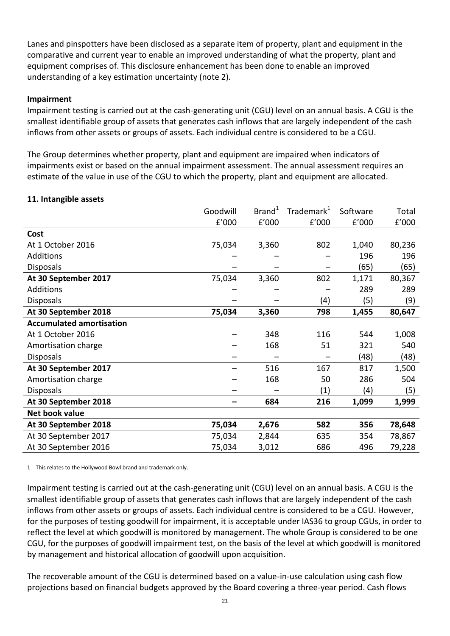Lanes and pinspotters have been disclosed as a separate item of property, plant and equipment in the comparative and current year to enable an improved understanding of what the property, plant and equipment comprises of. This disclosure enhancement has been done to enable an improved understanding of a key estimation uncertainty (note 2).

### **Impairment**

Impairment testing is carried out at the cash-generating unit (CGU) level on an annual basis. A CGU is the smallest identifiable group of assets that generates cash inflows that are largely independent of the cash inflows from other assets or groups of assets. Each individual centre is considered to be a CGU.

The Group determines whether property, plant and equipment are impaired when indicators of impairments exist or based on the annual impairment assessment. The annual assessment requires an estimate of the value in use of the CGU to which the property, plant and equipment are allocated.

### **11. Intangible assets**

|                                 | Goodwill | Brand <sup>1</sup> | Trademark <sup>1</sup> | Software | Total  |
|---------------------------------|----------|--------------------|------------------------|----------|--------|
|                                 | f'000    | £'000              | £'000                  | f'000    | f'000  |
| Cost                            |          |                    |                        |          |        |
| At 1 October 2016               | 75,034   | 3,360              | 802                    | 1,040    | 80,236 |
| Additions                       |          |                    |                        | 196      | 196    |
| <b>Disposals</b>                |          |                    |                        | (65)     | (65)   |
| At 30 September 2017            | 75,034   | 3,360              | 802                    | 1,171    | 80,367 |
| Additions                       |          |                    |                        | 289      | 289    |
| <b>Disposals</b>                |          |                    | (4)                    | (5)      | (9)    |
| At 30 September 2018            | 75,034   | 3,360              | 798                    | 1,455    | 80,647 |
| <b>Accumulated amortisation</b> |          |                    |                        |          |        |
| At 1 October 2016               |          | 348                | 116                    | 544      | 1,008  |
| Amortisation charge             |          | 168                | 51                     | 321      | 540    |
| <b>Disposals</b>                |          |                    |                        | (48)     | (48)   |
| At 30 September 2017            |          | 516                | 167                    | 817      | 1,500  |
| Amortisation charge             |          | 168                | 50                     | 286      | 504    |
| <b>Disposals</b>                |          |                    | (1)                    | (4)      | (5)    |
| At 30 September 2018            |          | 684                | 216                    | 1,099    | 1,999  |
| Net book value                  |          |                    |                        |          |        |
| At 30 September 2018            | 75,034   | 2,676              | 582                    | 356      | 78,648 |
| At 30 September 2017            | 75,034   | 2,844              | 635                    | 354      | 78,867 |
| At 30 September 2016            | 75,034   | 3,012              | 686                    | 496      | 79,228 |

1 This relates to the Hollywood Bowl brand and trademark only.

Impairment testing is carried out at the cash-generating unit (CGU) level on an annual basis. A CGU is the smallest identifiable group of assets that generates cash inflows that are largely independent of the cash inflows from other assets or groups of assets. Each individual centre is considered to be a CGU. However, for the purposes of testing goodwill for impairment, it is acceptable under IAS36 to group CGUs, in order to reflect the level at which goodwill is monitored by management. The whole Group is considered to be one CGU, for the purposes of goodwill impairment test, on the basis of the level at which goodwill is monitored by management and historical allocation of goodwill upon acquisition.

The recoverable amount of the CGU is determined based on a value-in-use calculation using cash flow projections based on financial budgets approved by the Board covering a three-year period. Cash flows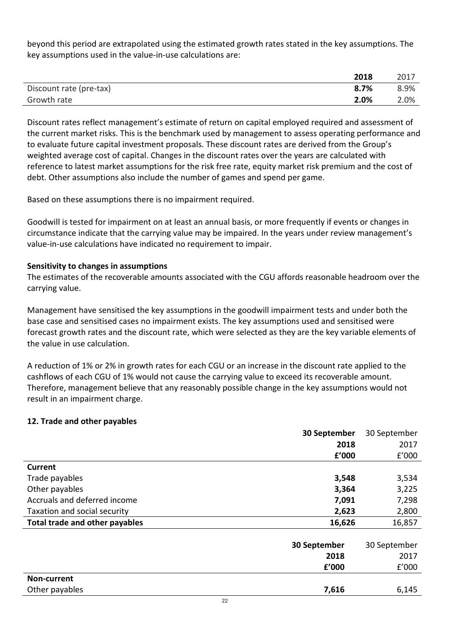beyond this period are extrapolated using the estimated growth rates stated in the key assumptions. The key assumptions used in the value-in-use calculations are:

|                         | 2018 | 2017 |
|-------------------------|------|------|
| Discount rate (pre-tax) | 8.7% | 8.9% |
| Growth rate             | 2.0% | 2.0% |

Discount rates reflect management's estimate of return on capital employed required and assessment of the current market risks. This is the benchmark used by management to assess operating performance and to evaluate future capital investment proposals. These discount rates are derived from the Group's weighted average cost of capital. Changes in the discount rates over the years are calculated with reference to latest market assumptions for the risk free rate, equity market risk premium and the cost of debt. Other assumptions also include the number of games and spend per game.

Based on these assumptions there is no impairment required.

Goodwill is tested for impairment on at least an annual basis, or more frequently if events or changes in circumstance indicate that the carrying value may be impaired. In the years under review management's value-in-use calculations have indicated no requirement to impair.

### **Sensitivity to changes in assumptions**

The estimates of the recoverable amounts associated with the CGU affords reasonable headroom over the carrying value.

Management have sensitised the key assumptions in the goodwill impairment tests and under both the base case and sensitised cases no impairment exists. The key assumptions used and sensitised were forecast growth rates and the discount rate, which were selected as they are the key variable elements of the value in use calculation.

A reduction of 1% or 2% in growth rates for each CGU or an increase in the discount rate applied to the cashflows of each CGU of 1% would not cause the carrying value to exceed its recoverable amount. Therefore, management believe that any reasonably possible change in the key assumptions would not result in an impairment charge.

### **12. Trade and other payables**

|                                | 30 September | 30 September |
|--------------------------------|--------------|--------------|
|                                | 2018         | 2017         |
|                                | f'000        | f'000        |
| <b>Current</b>                 |              |              |
| Trade payables                 | 3,548        | 3,534        |
| Other payables                 | 3,364        | 3,225        |
| Accruals and deferred income   | 7,091        | 7,298        |
| Taxation and social security   | 2,623        | 2,800        |
| Total trade and other payables | 16,626       | 16,857       |
|                                |              |              |
|                                | 30 September | 30 September |
|                                | 2018         | 2017         |
|                                | £'000        | f'000        |
| Non-current                    |              |              |
| Other payables                 | 7,616        | 6,145        |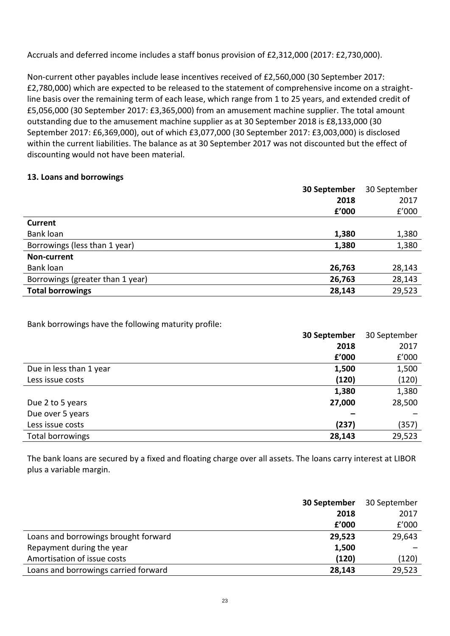Accruals and deferred income includes a staff bonus provision of £2,312,000 (2017: £2,730,000).

Non-current other payables include lease incentives received of £2,560,000 (30 September 2017: £2,780,000) which are expected to be released to the statement of comprehensive income on a straightline basis over the remaining term of each lease, which range from 1 to 25 years, and extended credit of £5,056,000 (30 September 2017: £3,365,000) from an amusement machine supplier. The total amount outstanding due to the amusement machine supplier as at 30 September 2018 is £8,133,000 (30 September 2017: £6,369,000), out of which £3,077,000 (30 September 2017: £3,003,000) is disclosed within the current liabilities. The balance as at 30 September 2017 was not discounted but the effect of discounting would not have been material.

# **13. Loans and borrowings**

|                                  | 30 September | 30 September |
|----------------------------------|--------------|--------------|
|                                  | 2018         | 2017         |
|                                  | £'000        | f'000        |
| <b>Current</b>                   |              |              |
| Bank loan                        | 1,380        | 1,380        |
| Borrowings (less than 1 year)    | 1,380        | 1,380        |
| Non-current                      |              |              |
| Bank loan                        | 26,763       | 28,143       |
| Borrowings (greater than 1 year) | 26,763       | 28,143       |
| <b>Total borrowings</b>          | 28,143       | 29,523       |

Bank borrowings have the following maturity profile:

|                         | 30 September | 30 September |
|-------------------------|--------------|--------------|
|                         | 2018         | 2017         |
|                         | f'000        | f'000        |
| Due in less than 1 year | 1,500        | 1,500        |
| Less issue costs        | (120)        | (120)        |
|                         | 1,380        | 1,380        |
| Due 2 to 5 years        | 27,000       | 28,500       |
| Due over 5 years        |              |              |
| Less issue costs        | (237)        | (357)        |
| Total borrowings        | 28,143       | 29,523       |

The bank loans are secured by a fixed and floating charge over all assets. The loans carry interest at LIBOR plus a variable margin.

|                                      | 30 September | 30 September |
|--------------------------------------|--------------|--------------|
|                                      | 2018         | 2017         |
|                                      | f'000        | f'000        |
| Loans and borrowings brought forward | 29,523       | 29,643       |
| Repayment during the year            | 1,500        |              |
| Amortisation of issue costs          | (120)        | (120)        |
| Loans and borrowings carried forward | 28,143       | 29,523       |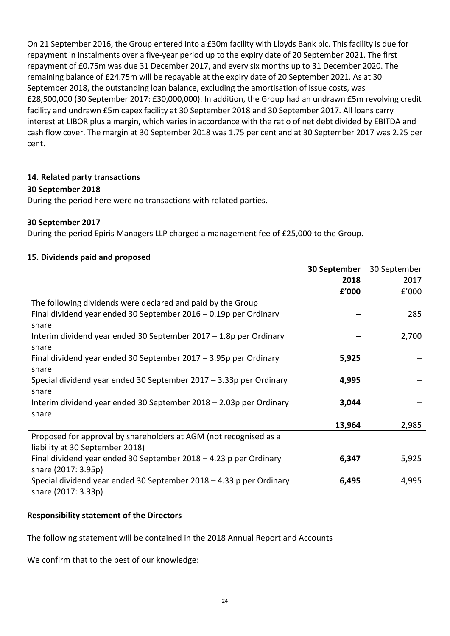On 21 September 2016, the Group entered into a £30m facility with Lloyds Bank plc. This facility is due for repayment in instalments over a five-year period up to the expiry date of 20 September 2021. The first repayment of £0.75m was due 31 December 2017, and every six months up to 31 December 2020. The remaining balance of £24.75m will be repayable at the expiry date of 20 September 2021. As at 30 September 2018, the outstanding loan balance, excluding the amortisation of issue costs, was £28,500,000 (30 September 2017: £30,000,000). In addition, the Group had an undrawn £5m revolving credit facility and undrawn £5m capex facility at 30 September 2018 and 30 September 2017. All loans carry interest at LIBOR plus a margin, which varies in accordance with the ratio of net debt divided by EBITDA and cash flow cover. The margin at 30 September 2018 was 1.75 per cent and at 30 September 2017 was 2.25 per cent.

# **14. Related party transactions**

# **30 September 2018**

During the period here were no transactions with related parties.

### **30 September 2017**

During the period Epiris Managers LLP charged a management fee of £25,000 to the Group.

# **15. Dividends paid and proposed**

|                                                                     | 30 September | 30 September |
|---------------------------------------------------------------------|--------------|--------------|
|                                                                     | 2018         | 2017         |
|                                                                     | f'000        | f'000        |
| The following dividends were declared and paid by the Group         |              |              |
| Final dividend year ended 30 September 2016 - 0.19p per Ordinary    |              | 285          |
| share                                                               |              |              |
| Interim dividend year ended 30 September 2017 - 1.8p per Ordinary   |              | 2,700        |
| share                                                               |              |              |
| Final dividend year ended 30 September 2017 - 3.95p per Ordinary    | 5,925        |              |
| share                                                               |              |              |
| Special dividend year ended 30 September 2017 – 3.33p per Ordinary  | 4,995        |              |
| share                                                               |              |              |
| Interim dividend year ended 30 September 2018 - 2.03p per Ordinary  | 3,044        |              |
| share                                                               |              |              |
|                                                                     | 13,964       | 2,985        |
| Proposed for approval by shareholders at AGM (not recognised as a   |              |              |
| liability at 30 September 2018)                                     |              |              |
| Final dividend year ended 30 September $2018 - 4.23$ p per Ordinary | 6,347        | 5,925        |
| share (2017: 3.95p)                                                 |              |              |
| Special dividend year ended 30 September 2018 - 4.33 p per Ordinary | 6,495        | 4,995        |
| share (2017: 3.33p)                                                 |              |              |

# **Responsibility statement of the Directors**

The following statement will be contained in the 2018 Annual Report and Accounts

We confirm that to the best of our knowledge: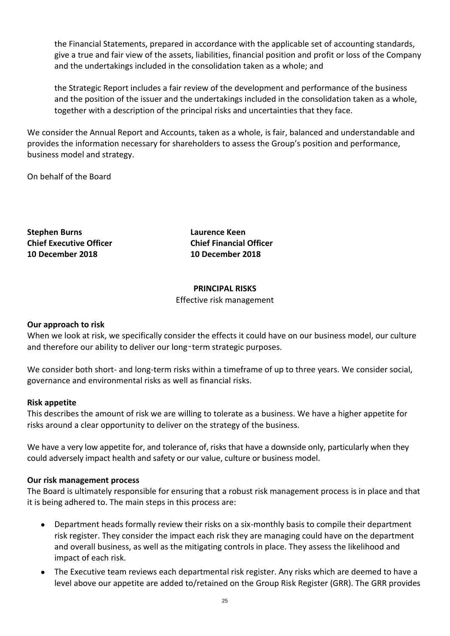the Financial Statements, prepared in accordance with the applicable set of accounting standards, give a true and fair view of the assets, liabilities, financial position and profit or loss of the Company and the undertakings included in the consolidation taken as a whole; and

the Strategic Report includes a fair review of the development and performance of the business and the position of the issuer and the undertakings included in the consolidation taken as a whole, together with a description of the principal risks and uncertainties that they face.

We consider the Annual Report and Accounts, taken as a whole, is fair, balanced and understandable and provides the information necessary for shareholders to assess the Group's position and performance, business model and strategy.

On behalf of the Board

**Stephen Burns Laurence Keen Chief Executive Officer Chief Financial Officer 10 December 2018 10 December 2018**

#### **PRINCIPAL RISKS** Effective risk management

### **Our approach to risk**

When we look at risk, we specifically consider the effects it could have on our business model, our culture and therefore our ability to deliver our long-term strategic purposes.

We consider both short- and long-term risks within a timeframe of up to three years. We consider social, governance and environmental risks as well as financial risks.

### **Risk appetite**

This describes the amount of risk we are willing to tolerate as a business. We have a higher appetite for risks around a clear opportunity to deliver on the strategy of the business.

We have a very low appetite for, and tolerance of, risks that have a downside only, particularly when they could adversely impact health and safety or our value, culture or business model.

#### **Our risk management process**

The Board is ultimately responsible for ensuring that a robust risk management process is in place and that it is being adhered to. The main steps in this process are:

- Department heads formally review their risks on a six-monthly basis to compile their department risk register. They consider the impact each risk they are managing could have on the department and overall business, as well as the mitigating controls in place. They assess the likelihood and impact of each risk.
- The Executive team reviews each departmental risk register. Any risks which are deemed to have a level above our appetite are added to/retained on the Group Risk Register (GRR). The GRR provides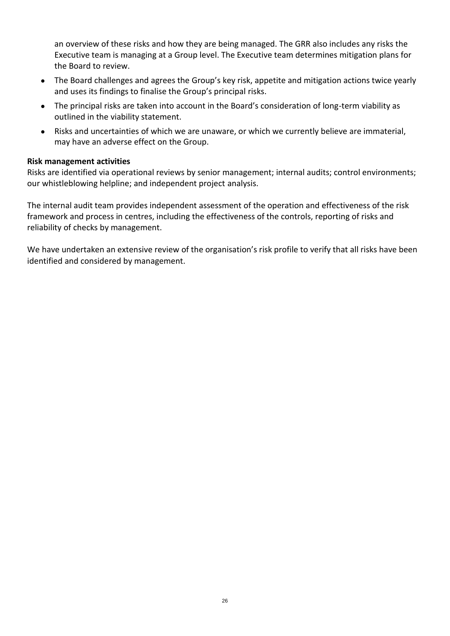an overview of these risks and how they are being managed. The GRR also includes any risks the Executive team is managing at a Group level. The Executive team determines mitigation plans for the Board to review.

- The Board challenges and agrees the Group's key risk, appetite and mitigation actions twice yearly and uses its findings to finalise the Group's principal risks.
- The principal risks are taken into account in the Board's consideration of long-term viability as outlined in the viability statement.
- Risks and uncertainties of which we are unaware, or which we currently believe are immaterial, may have an adverse effect on the Group.

### **Risk management activities**

Risks are identified via operational reviews by senior management; internal audits; control environments; our whistleblowing helpline; and independent project analysis.

The internal audit team provides independent assessment of the operation and effectiveness of the risk framework and process in centres, including the effectiveness of the controls, reporting of risks and reliability of checks by management.

We have undertaken an extensive review of the organisation's risk profile to verify that all risks have been identified and considered by management.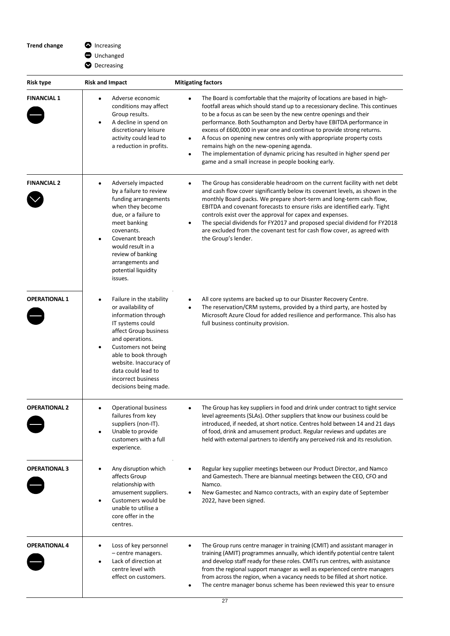**Trend change**  $\bullet$ 

| Λ<br>Increasing |
|-----------------|
|-----------------|

 $\bigcirc$  Unchanged

**D** Decreasing

| Risk type            | <b>Risk and Impact</b>                                                                                                                                                                                                                                                                           | <b>Mitigating factors</b>                                                                                                                                                                                                                                                                                                                                                                                                                                                                                                                                                                                                                                                  |
|----------------------|--------------------------------------------------------------------------------------------------------------------------------------------------------------------------------------------------------------------------------------------------------------------------------------------------|----------------------------------------------------------------------------------------------------------------------------------------------------------------------------------------------------------------------------------------------------------------------------------------------------------------------------------------------------------------------------------------------------------------------------------------------------------------------------------------------------------------------------------------------------------------------------------------------------------------------------------------------------------------------------|
| <b>FINANCIAL 1</b>   | Adverse economic<br>conditions may affect<br>Group results.<br>A decline in spend on<br>discretionary leisure<br>activity could lead to<br>a reduction in profits.                                                                                                                               | The Board is comfortable that the majority of locations are based in high-<br>$\bullet$<br>footfall areas which should stand up to a recessionary decline. This continues<br>to be a focus as can be seen by the new centre openings and their<br>performance. Both Southampton and Derby have EBITDA performance in<br>excess of £600,000 in year one and continue to provide strong returns.<br>A focus on opening new centres only with appropriate property costs<br>$\bullet$<br>remains high on the new-opening agenda.<br>The implementation of dynamic pricing has resulted in higher spend per<br>$\bullet$<br>game and a small increase in people booking early. |
| <b>FINANCIAL 2</b>   | Adversely impacted<br>by a failure to review<br>funding arrangements<br>when they become<br>due, or a failure to<br>meet banking<br>covenants.<br>Covenant breach<br>would result in a<br>review of banking<br>arrangements and<br>potential liquidity<br>issues.                                | The Group has considerable headroom on the current facility with net debt<br>and cash flow cover significantly below its covenant levels, as shown in the<br>monthly Board packs. We prepare short-term and long-term cash flow,<br>EBITDA and covenant forecasts to ensure risks are identified early. Tight<br>controls exist over the approval for capex and expenses.<br>The special dividends for FY2017 and proposed special dividend for FY2018<br>$\bullet$<br>are excluded from the covenant test for cash flow cover, as agreed with<br>the Group's lender.                                                                                                      |
| <b>OPERATIONAL 1</b> | Failure in the stability<br>$\bullet$<br>or availability of<br>information through<br>IT systems could<br>affect Group business<br>and operations.<br>Customers not being<br>able to book through<br>website. Inaccuracy of<br>data could lead to<br>incorrect business<br>decisions being made. | All core systems are backed up to our Disaster Recovery Centre.<br>٠<br>The reservation/CRM systems, provided by a third party, are hosted by<br>$\bullet$<br>Microsoft Azure Cloud for added resilience and performance. This also has<br>full business continuity provision.                                                                                                                                                                                                                                                                                                                                                                                             |
| <b>OPERATIONAL 2</b> | <b>Operational business</b><br>failures from key<br>suppliers (non-IT).<br>Unable to provide<br>customers with a full<br>experience.                                                                                                                                                             | The Group has key suppliers in food and drink under contract to tight service<br>$\bullet$<br>level agreements (SLAs). Other suppliers that know our business could be<br>introduced, if needed, at short notice. Centres hold between 14 and 21 days<br>of food, drink and amusement product. Regular reviews and updates are<br>held with external partners to identify any perceived risk and its resolution.                                                                                                                                                                                                                                                           |
| <b>OPERATIONAL 3</b> | Any disruption which<br>affects Group<br>relationship with<br>amusement suppliers.<br>Customers would be<br>unable to utilise a<br>core offer in the<br>centres.                                                                                                                                 | Regular key supplier meetings between our Product Director, and Namco<br>and Gamestech. There are biannual meetings between the CEO, CFO and<br>Namco.<br>New Gamestec and Namco contracts, with an expiry date of September<br>٠<br>2022, have been signed.                                                                                                                                                                                                                                                                                                                                                                                                               |
| <b>OPERATIONAL 4</b> | Loss of key personnel<br>- centre managers.<br>Lack of direction at<br>centre level with<br>effect on customers.                                                                                                                                                                                 | The Group runs centre manager in training (CMIT) and assistant manager in<br>$\bullet$<br>training (AMIT) programmes annually, which identify potential centre talent<br>and develop staff ready for these roles. CMITs run centres, with assistance<br>from the regional support manager as well as experienced centre managers<br>from across the region, when a vacancy needs to be filled at short notice.<br>The centre manager bonus scheme has been reviewed this year to ensure<br>$\bullet$                                                                                                                                                                       |